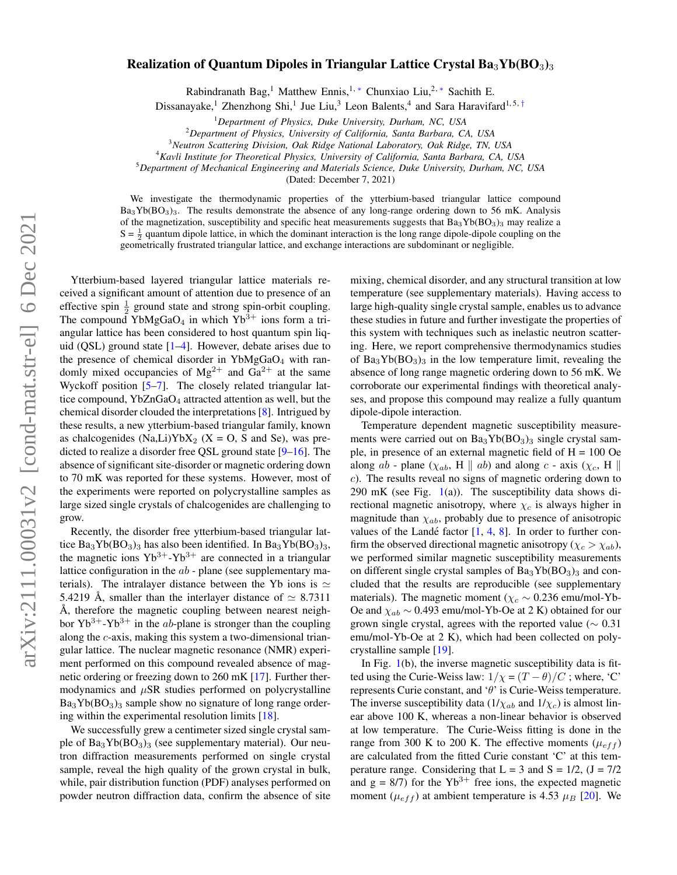## Realization of Quantum Dipoles in Triangular Lattice Crystal  $Ba_3Yb(BO_3)_{3}$

Rabindranath Bag,<sup>1</sup> Matthew Ennis,<sup>1, [∗](#page-3-0)</sup> Chunxiao Liu,<sup>2, ∗</sup> Sachith E.

Dissanayake,<sup>1</sup> Zhenzhong Shi,<sup>1</sup> Jue Liu,<sup>3</sup> Leon Balents,<sup>4</sup> and Sara Haravifard<sup>1,5,[†](#page-4-0)</sup>

<sup>1</sup>*Department of Physics, Duke University, Durham, NC, USA*

<sup>2</sup>*Department of Physics, University of California, Santa Barbara, CA, USA*

<sup>3</sup>*Neutron Scattering Division, Oak Ridge National Laboratory, Oak Ridge, TN, USA*

<sup>4</sup>*Kavli Institute for Theoretical Physics, University of California, Santa Barbara, CA, USA*

<sup>5</sup>*Department of Mechanical Engineering and Materials Science, Duke University, Durham, NC, USA*

(Dated: December 7, 2021)

We investigate the thermodynamic properties of the ytterbium-based triangular lattice compound Ba<sub>3</sub>Yb(BO<sub>3</sub>)<sub>3</sub>. The results demonstrate the absence of any long-range ordering down to 56 mK. Analysis of the magnetization, susceptibility and specific heat measurements suggests that  $Ba_3Yb(BO_3)$ <sub>3</sub> may realize a  $S = \frac{1}{2}$  quantum dipole lattice, in which the dominant interaction is the long range dipole-dipole coupling on the geometrically frustrated triangular lattice, and exchange interactions are subdominant or negligible.

Ytterbium-based layered triangular lattice materials received a significant amount of attention due to presence of an effective spin  $\frac{1}{2}$  ground state and strong spin-orbit coupling. The compound YbMgGaO<sub>4</sub> in which Yb<sup>3+</sup> ions form a triangular lattice has been considered to host quantum spin liquid (QSL) ground state [\[1–](#page-4-1)[4\]](#page-4-2). However, debate arises due to the presence of chemical disorder in  $YbMgGaO<sub>4</sub>$  with randomly mixed occupancies of  $Mg^{2+}$  and  $Ga^{2+}$  at the same Wyckoff position [\[5–](#page-4-3)[7\]](#page-4-4). The closely related triangular lattice compound, YbZnGaO<sub>4</sub> attracted attention as well, but the chemical disorder clouded the interpretations [\[8\]](#page-4-5). Intrigued by these results, a new ytterbium-based triangular family, known as chalcogenides (Na,Li)YbX<sub>2</sub> (X = O, S and Se), was predicted to realize a disorder free QSL ground state [\[9–](#page-4-6)[16\]](#page-4-7). The absence of significant site-disorder or magnetic ordering down to 70 mK was reported for these systems. However, most of the experiments were reported on polycrystalline samples as large sized single crystals of chalcogenides are challenging to grow.

Recently, the disorder free ytterbium-based triangular lattice  $Ba_3Yb(BO_3)_3$  has also been identified. In  $Ba_3Yb(BO_3)_3$ , the magnetic ions  $Yb^{3+}-Yb^{3+}$  are connected in a triangular lattice configuration in the  $ab$  - plane (see supplementary materials). The intralayer distance between the Yb ions is  $\simeq$ 5.4219 Å, smaller than the interlayer distance of  $\simeq 8.7311$ Å, therefore the magnetic coupling between nearest neighbor  $Yb^{3+}-Yb^{3+}$  in the *ab*-plane is stronger than the coupling along the c-axis, making this system a two-dimensional triangular lattice. The nuclear magnetic resonance (NMR) experiment performed on this compound revealed absence of magnetic ordering or freezing down to 260 mK [\[17\]](#page-4-8). Further thermodynamics and  $\mu$ SR studies performed on polycrystalline  $Ba_3Yb(BO_3)_3$  sample show no signature of long range ordering within the experimental resolution limits [\[18\]](#page-4-9).

We successfully grew a centimeter sized single crystal sample of  $Ba_3Yb(BO_3)_3$  (see supplementary material). Our neutron diffraction measurements performed on single crystal sample, reveal the high quality of the grown crystal in bulk, while, pair distribution function (PDF) analyses performed on powder neutron diffraction data, confirm the absence of site

mixing, chemical disorder, and any structural transition at low temperature (see supplementary materials). Having access to large high-quality single crystal sample, enables us to advance these studies in future and further investigate the properties of this system with techniques such as inelastic neutron scattering. Here, we report comprehensive thermodynamics studies of  $Ba_3Yb(BO_3)_3$  in the low temperature limit, revealing the absence of long range magnetic ordering down to 56 mK. We corroborate our experimental findings with theoretical analyses, and propose this compound may realize a fully quantum dipole-dipole interaction.

Temperature dependent magnetic susceptibility measurements were carried out on  $Ba_3Yb(BO_3)_3$  single crystal sample, in presence of an external magnetic field of  $H = 100$  Oe along ab - plane ( $\chi_{ab}$ , H || ab) and along c - axis ( $\chi_c$ , H || c). The results reveal no signs of magnetic ordering down to 290 mK (see Fig.  $1(a)$  $1(a)$ ). The susceptibility data shows directional magnetic anisotropy, where  $\chi_c$  is always higher in magnitude than  $\chi_{ab}$ , probably due to presence of anisotropic values of the Landé factor  $[1, 4, 8]$  $[1, 4, 8]$  $[1, 4, 8]$  $[1, 4, 8]$  $[1, 4, 8]$  $[1, 4, 8]$ . In order to further confirm the observed directional magnetic anisotropy ( $\chi_c > \chi_{ab}$ ), we performed similar magnetic susceptibility measurements on different single crystal samples of  $Ba<sub>3</sub>Yb(BO<sub>3</sub>)<sub>3</sub>$  and concluded that the results are reproducible (see supplementary materials). The magnetic moment ( $\chi_c \sim 0.236$  emu/mol-Yb-Oe and  $\chi_{ab}$  ~ 0.493 emu/mol-Yb-Oe at 2 K) obtained for our grown single crystal, agrees with the reported value ( $\sim 0.31$ ) emu/mol-Yb-Oe at 2 K), which had been collected on polycrystalline sample [\[19\]](#page-4-10).

In Fig.  $1(b)$  $1(b)$ , the inverse magnetic susceptibility data is fitted using the Curie-Weiss law:  $1/\chi = (T - \theta)/C$ ; where, 'C' represents Curie constant, and ' $\theta$ ' is Curie-Weiss temperature. The inverse susceptibility data ( $1/\chi_{ab}$  and  $1/\chi_{c}$ ) is almost linear above 100 K, whereas a non-linear behavior is observed at low temperature. The Curie-Weiss fitting is done in the range from 300 K to 200 K. The effective moments ( $\mu_{eff}$ ) are calculated from the fitted Curie constant 'C' at this temperature range. Considering that  $L = 3$  and  $S = 1/2$ ,  $(J = 7/2)$ and  $g = 8/7$ ) for the Yb<sup>3+</sup> free ions, the expected magnetic moment ( $\mu_{eff}$ ) at ambient temperature is 4.53  $\mu_B$  [\[20\]](#page-4-11). We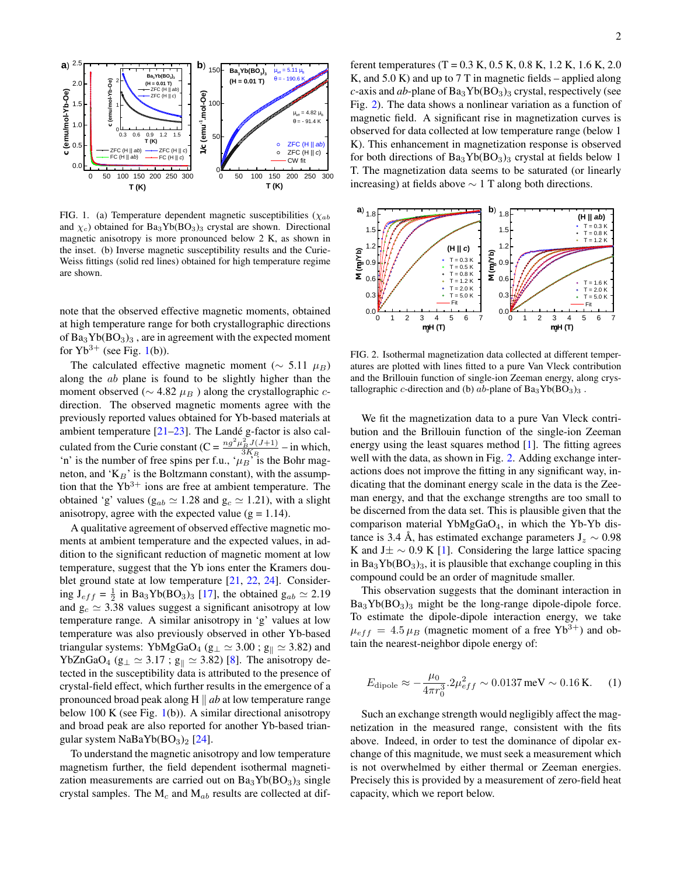

<span id="page-1-0"></span>FIG. 1. (a) Temperature dependent magnetic susceptibilities ( $\chi_{ab}$ ) and  $\chi_c$ ) obtained for Ba<sub>3</sub>Yb(BO<sub>3</sub>)<sub>3</sub> crystal are shown. Directional magnetic anisotropy is more pronounced below 2 K, as shown in the inset. (b) Inverse magnetic susceptibility results and the Curie-Weiss fittings (solid red lines) obtained for high temperature regime are shown.

note that the observed effective magnetic moments, obtained at high temperature range for both crystallographic directions of  $Ba_3Yb(BO_3)_3$ , are in agreement with the expected moment for  $Yb^{3+}$  (see Fig. [1\(](#page-1-0)b)).

The calculated effective magnetic moment ( $\sim$  5.11  $\mu_B$ ) along the ab plane is found to be slightly higher than the moment observed ( $\sim$  4.82  $\mu_B$ ) along the crystallographic *c*direction. The observed magnetic moments agree with the previously reported values obtained for Yb-based materials at ambient temperature  $[21-23]$  $[21-23]$ . The Landé g-factor is also calculated from the Curie constant (C =  $\frac{n g^2 \mu_B^2 J(J+1)}{3K_B}$  – in which, 'n' is the number of free spins per f.u., ' $\mu_B$ ' is the Bohr magneton, and ' $K_B$ ' is the Boltzmann constant), with the assumption that the  $Yb^{3+}$  ions are free at ambient temperature. The obtained 'g' values ( $g_{ab} \simeq 1.28$  and  $g_c \simeq 1.21$ ), with a slight anisotropy, agree with the expected value ( $g = 1.14$ ).

A qualitative agreement of observed effective magnetic moments at ambient temperature and the expected values, in addition to the significant reduction of magnetic moment at low temperature, suggest that the Yb ions enter the Kramers doublet ground state at low temperature [\[21,](#page-4-12) [22,](#page-4-14) [24\]](#page-4-15). Considering  $J_{eff} = \frac{1}{2}$  in Ba<sub>3</sub>Yb(BO<sub>3</sub>)<sub>3</sub> [\[17\]](#page-4-8), the obtained  $g_{ab} \simeq 2.19$ and  $g_c \simeq 3.38$  values suggest a significant anisotropy at low temperature range. A similar anisotropy in 'g' values at low temperature was also previously observed in other Yb-based triangular systems: YbMgGaO<sub>4</sub> ( $g_{\perp} \simeq 3.00$  ;  $g_{\parallel} \simeq 3.82$ ) and YbZnGaO<sub>4</sub> ( $g_{\perp} \simeq 3.17$ ;  $g_{\parallel} \simeq 3.82$ ) [\[8\]](#page-4-5). The anisotropy detected in the susceptibility data is attributed to the presence of crystal-field effect, which further results in the emergence of a pronounced broad peak along H  $\parallel$  *ab* at low temperature range below 100 K (see Fig. [1\(](#page-1-0)b)). A similar directional anisotropy and broad peak are also reported for another Yb-based triangular system NaBaYb $(BO<sub>3</sub>)<sub>2</sub>$  [\[24\]](#page-4-15).

To understand the magnetic anisotropy and low temperature magnetism further, the field dependent isothermal magnetization measurements are carried out on  $Ba<sub>3</sub>Yb(BO<sub>3</sub>)<sub>3</sub>$  single crystal samples. The  $M_c$  and  $M_{ab}$  results are collected at different temperatures (T =  $0.3$  K,  $0.5$  K,  $0.8$  K,  $1.2$  K,  $1.6$  K,  $2.0$ K, and 5.0 K) and up to 7 T in magnetic fields – applied along *c*-axis and *ab*-plane of  $Ba_3Yb(BO_3)_3$  crystal, respectively (see Fig. [2\)](#page-1-1). The data shows a nonlinear variation as a function of magnetic field. A significant rise in magnetization curves is observed for data collected at low temperature range (below 1 K). This enhancement in magnetization response is observed for both directions of  $Ba<sub>3</sub>Yb(BO<sub>3</sub>)<sub>3</sub>$  crystal at fields below 1 T. The magnetization data seems to be saturated (or linearly increasing) at fields above  $\sim$  1 T along both directions.



<span id="page-1-1"></span>FIG. 2. Isothermal magnetization data collected at different temperatures are plotted with lines fitted to a pure Van Vleck contribution and the Brillouin function of single-ion Zeeman energy, along crystallographic c-direction and (b)  $ab$ -plane of Ba<sub>3</sub>Yb(BO<sub>3</sub>)<sub>3</sub>.

We fit the magnetization data to a pure Van Vleck contribution and the Brillouin function of the single-ion Zeeman energy using the least squares method [\[1\]](#page-4-1). The fitting agrees well with the data, as shown in Fig. [2.](#page-1-1) Adding exchange interactions does not improve the fitting in any significant way, indicating that the dominant energy scale in the data is the Zeeman energy, and that the exchange strengths are too small to be discerned from the data set. This is plausible given that the comparison material YbMgGaO<sub>4</sub>, in which the Yb-Yb distance is 3.4 Å, has estimated exchange parameters  $J_z \sim 0.98$ K and J $\pm \sim 0.9$  K [\[1\]](#page-4-1). Considering the large lattice spacing in  $Ba_3Yb(BO_3)_3$ , it is plausible that exchange coupling in this compound could be an order of magnitude smaller.

This observation suggests that the dominant interaction in  $Ba_3Yb(BO_3)_3$  might be the long-range dipole-dipole force. To estimate the dipole-dipole interaction energy, we take  $\mu_{eff} = 4.5 \mu_B$  (magnetic moment of a free Yb<sup>3+</sup>) and obtain the nearest-neighbor dipole energy of:

$$
E_{\text{dipole}} \approx -\frac{\mu_0}{4\pi r_0^3} . 2\mu_{eff}^2 \sim 0.0137 \,\text{meV} \sim 0.16 \,\text{K.}
$$
 (1)

Such an exchange strength would negligibly affect the magnetization in the measured range, consistent with the fits above. Indeed, in order to test the dominance of dipolar exchange of this magnitude, we must seek a measurement which is not overwhelmed by either thermal or Zeeman energies. Precisely this is provided by a measurement of zero-field heat capacity, which we report below.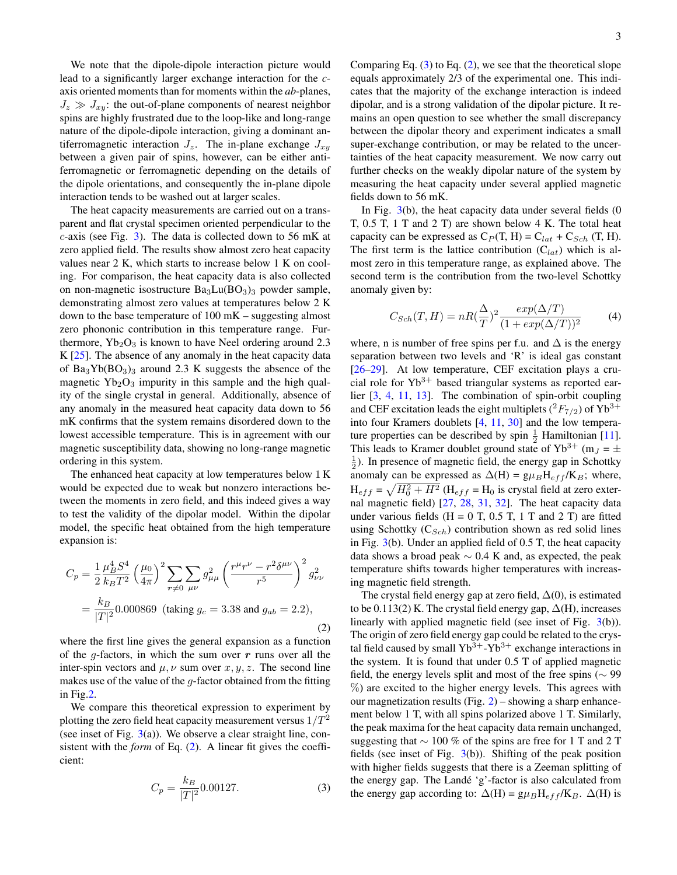We note that the dipole-dipole interaction picture would lead to a significantly larger exchange interaction for the *c*axis oriented moments than for moments within the *ab*-planes,  $J_z \gg J_{xy}$ : the out-of-plane components of nearest neighbor spins are highly frustrated due to the loop-like and long-range nature of the dipole-dipole interaction, giving a dominant antiferromagnetic interaction  $J_z$ . The in-plane exchange  $J_{xy}$ between a given pair of spins, however, can be either antiferromagnetic or ferromagnetic depending on the details of the dipole orientations, and consequently the in-plane dipole interaction tends to be washed out at larger scales.

The heat capacity measurements are carried out on a transparent and flat crystal specimen oriented perpendicular to the c-axis (see Fig. [3\)](#page-3-1). The data is collected down to 56 mK at zero applied field. The results show almost zero heat capacity values near 2 K, which starts to increase below 1 K on cooling. For comparison, the heat capacity data is also collected on non-magnetic isostructure  $Ba<sub>3</sub>Lu(BO<sub>3</sub>)<sub>3</sub>$  powder sample, demonstrating almost zero values at temperatures below 2 K down to the base temperature of 100 mK – suggesting almost zero phononic contribution in this temperature range. Furthermore,  $Yb_2O_3$  is known to have Neel ordering around 2.3 K  $[25]$ . The absence of any anomaly in the heat capacity data of  $Ba_3Yb(BO_3)_3$  around 2.3 K suggests the absence of the magnetic  $Yb_2O_3$  impurity in this sample and the high quality of the single crystal in general. Additionally, absence of any anomaly in the measured heat capacity data down to 56 mK confirms that the system remains disordered down to the lowest accessible temperature. This is in agreement with our magnetic susceptibility data, showing no long-range magnetic ordering in this system.

The enhanced heat capacity at low temperatures below 1 K would be expected due to weak but nonzero interactions between the moments in zero field, and this indeed gives a way to test the validity of the dipolar model. Within the dipolar model, the specific heat obtained from the high temperature expansion is:

<span id="page-2-0"></span>
$$
C_p = \frac{1}{2} \frac{\mu_B^4 S^4}{k_B T^2} \left(\frac{\mu_0}{4\pi}\right)^2 \sum_{r \neq 0} \sum_{\mu\nu} g_{\mu\mu}^2 \left(\frac{r^{\mu} r^{\nu} - r^2 \delta^{\mu\nu}}{r^5}\right)^2 g_{\nu\nu}^2
$$

$$
= \frac{k_B}{|T|^2} 0.000869 \text{ (taking } g_c = 3.38 \text{ and } g_{ab} = 2.2), \tag{2}
$$

where the first line gives the general expansion as a function of the g-factors, in which the sum over  $r$  runs over all the inter-spin vectors and  $\mu$ ,  $\nu$  sum over  $x$ ,  $y$ ,  $z$ . The second line makes use of the value of the  $g$ -factor obtained from the fitting in Fig[.2.](#page-1-1)

<span id="page-2-1"></span>We compare this theoretical expression to experiment by plotting the zero field heat capacity measurement versus  $1/T<sup>2</sup>$ (see inset of Fig.  $3(a)$  $3(a)$ ). We observe a clear straight line, consistent with the *form* of Eq. [\(2\)](#page-2-0). A linear fit gives the coefficient:

$$
C_p = \frac{k_B}{|T|^2} 0.00127. \tag{3}
$$

Comparing Eq.  $(3)$  to Eq.  $(2)$ , we see that the theoretical slope equals approximately 2/3 of the experimental one. This indicates that the majority of the exchange interaction is indeed dipolar, and is a strong validation of the dipolar picture. It remains an open question to see whether the small discrepancy between the dipolar theory and experiment indicates a small super-exchange contribution, or may be related to the uncertainties of the heat capacity measurement. We now carry out further checks on the weakly dipolar nature of the system by measuring the heat capacity under several applied magnetic fields down to 56 mK.

In Fig.  $3(b)$  $3(b)$ , the heat capacity data under several fields  $(0)$ T, 0.5 T, 1 T and 2 T) are shown below 4 K. The total heat capacity can be expressed as  $C_P(T, H) = C_{lat} + C_{Sch} (T, H)$ . The first term is the lattice contribution  $(C<sub>lat</sub>)$  which is almost zero in this temperature range, as explained above. The second term is the contribution from the two-level Schottky anomaly given by:

<span id="page-2-2"></span>
$$
C_{Sch}(T, H) = nR(\frac{\Delta}{T})^2 \frac{exp(\Delta/T)}{(1 + exp(\Delta/T))^2}
$$
(4)

where, n is number of free spins per f.u. and  $\Delta$  is the energy separation between two levels and 'R' is ideal gas constant [\[26](#page-4-17)[–29\]](#page-4-18). At low temperature, CEF excitation plays a crucial role for  $Yb^{3+}$  based triangular systems as reported earlier [\[3,](#page-4-19) [4,](#page-4-2) [11,](#page-4-20) [13\]](#page-4-21). The combination of spin-orbit coupling and CEF excitation leads the eight multiplets ( ${}^{2}F_{7/2}$ ) of Yb<sup>3+</sup> into four Kramers doublets [\[4,](#page-4-2) [11,](#page-4-20) [30\]](#page-4-22) and the low temperature properties can be described by spin  $\frac{1}{2}$  Hamiltonian [\[11\]](#page-4-20). This leads to Kramer doublet ground state of Yb<sup>3+</sup> (m<sub>J</sub> =  $\pm$  $\frac{1}{2}$ ). In presence of magnetic field, the energy gap in Schottky anomaly can be expressed as  $\Delta(H) = g\mu_B H_{eff}/K_B$ ; where,  $H_{eff} = \sqrt{H_0^2 + H^2}$  ( $H_{eff} = H_0$  is crystal field at zero external magnetic field) [\[27,](#page-4-23) [28,](#page-4-24) [31,](#page-4-25) [32\]](#page-4-26). The heat capacity data under various fields ( $H = 0$  T, 0.5 T, 1 T and 2 T) are fitted using Schottky  $(C_{Sch})$  contribution shown as red solid lines in Fig. [3\(](#page-3-1)b). Under an applied field of 0.5 T, the heat capacity data shows a broad peak  $\sim$  0.4 K and, as expected, the peak temperature shifts towards higher temperatures with increasing magnetic field strength.

The crystal field energy gap at zero field,  $\Delta(0)$ , is estimated to be  $0.113(2)$  K. The crystal field energy gap,  $\Delta(H)$ , increases linearly with applied magnetic field (see inset of Fig. [3\(](#page-3-1)b)). The origin of zero field energy gap could be related to the crystal field caused by small  $Yb^{3+}-Yb^{3+}$  exchange interactions in the system. It is found that under 0.5 T of applied magnetic field, the energy levels split and most of the free spins ( $\sim$  99 %) are excited to the higher energy levels. This agrees with our magnetization results (Fig.  $2$ ) – showing a sharp enhancement below 1 T, with all spins polarized above 1 T. Similarly, the peak maxima for the heat capacity data remain unchanged, suggesting that  $\sim$  100 % of the spins are free for 1 T and 2 T fields (see inset of Fig.  $3(b)$  $3(b)$ ). Shifting of the peak position with higher fields suggests that there is a Zeeman splitting of the energy gap. The Landé 'g'-factor is also calculated from the energy gap according to:  $\Delta(H) = g\mu_B H_{eff}/K_B$ .  $\Delta(H)$  is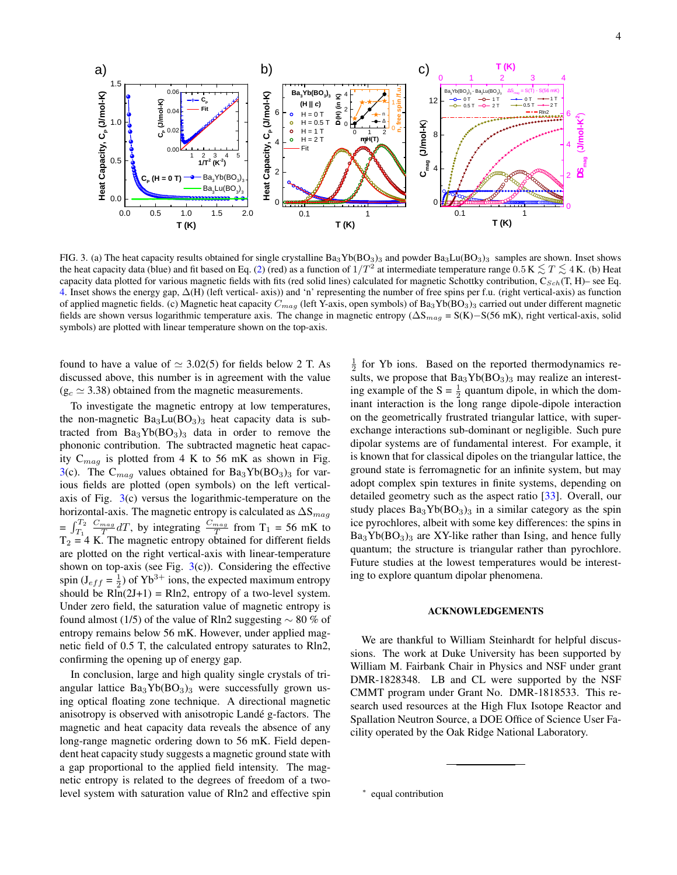

<span id="page-3-1"></span>FIG. 3. (a) The heat capacity results obtained for single crystalline  $Ba_3Yb(BO_3)_3$  and powder  $Ba_3Lu(BO_3)_3$  samples are shown. Inset shows the heat capacity data (blue) and fit based on Eq. [\(2\)](#page-2-0) (red) as a function of  $1/T^2$  at intermediate temperature range 0.5 K  $\lesssim T \lesssim 4$  K. (b) Heat capacity data plotted for various magnetic fields with fits (red solid lines) calculated for magnetic Schottky contribution,  $C_{Sch}(T, H)$ – see Eq. [4.](#page-2-2) Inset shows the energy gap, ∆(H) (left vertical- axis)) and 'n' representing the number of free spins per f.u. (right vertical-axis) as function of applied magnetic fields. (c) Magnetic heat capacity  $C_{mag}$  (left Y-axis, open symbols) of Ba<sub>3</sub>Yb(BO<sub>3</sub>)<sub>3</sub> carried out under different magnetic fields are shown versus logarithmic temperature axis. The change in magnetic entropy ( $\Delta S_{mag} = S(K) - S(56 \text{ mK})$ , right vertical-axis, solid symbols) are plotted with linear temperature shown on the top-axis.

found to have a value of  $\simeq 3.02(5)$  for fields below 2 T. As discussed above, this number is in agreement with the value  $(g_c \approx 3.38)$  obtained from the magnetic measurements.

To investigate the magnetic entropy at low temperatures, the non-magnetic  $Ba<sub>3</sub>Lu(BO<sub>3</sub>)<sub>3</sub>$  heat capacity data is subtracted from  $Ba_3Yb(BO_3)_3$  data in order to remove the phononic contribution. The subtracted magnetic heat capacity  $C_{mag}$  is plotted from 4 K to 56 mK as shown in Fig. [3\(](#page-3-1)c). The  $C_{mag}$  values obtained for Ba<sub>3</sub>Yb(BO<sub>3</sub>)<sub>3</sub> for various fields are plotted (open symbols) on the left verticalaxis of Fig.  $3(c)$  $3(c)$  versus the logarithmic-temperature on the horizontal-axis. The magnetic entropy is calculated as  $\Delta S_{mag}$  $=$   $\int_{T_1}^{T_2}$  $\frac{C_{mag}}{T} dT$ , by integrating  $\frac{C_{mag}}{T}$  from T<sub>1</sub> = 56 mK to  $T_2 = 4 K$ . The magnetic entropy obtained for different fields are plotted on the right vertical-axis with linear-temperature shown on top-axis (see Fig.  $3(c)$  $3(c)$ ). Considering the effective spin ( $J_{eff} = \frac{1}{2}$ ) of Yb<sup>3+</sup> ions, the expected maximum entropy should be  $\text{R}\ln(2J+1) = \text{R}\ln 2$ , entropy of a two-level system. Under zero field, the saturation value of magnetic entropy is found almost (1/5) of the value of Rln2 suggesting  $\sim$  80 % of entropy remains below 56 mK. However, under applied magnetic field of 0.5 T, the calculated entropy saturates to Rln2, confirming the opening up of energy gap.

In conclusion, large and high quality single crystals of triangular lattice  $Ba_3Yb(BO_3)_3$  were successfully grown using optical floating zone technique. A directional magnetic anisotropy is observed with anisotropic Landé g-factors. The magnetic and heat capacity data reveals the absence of any long-range magnetic ordering down to 56 mK. Field dependent heat capacity study suggests a magnetic ground state with a gap proportional to the applied field intensity. The magnetic entropy is related to the degrees of freedom of a twolevel system with saturation value of Rln2 and effective spin

 $\frac{1}{2}$  for Yb ions. Based on the reported thermodynamics results, we propose that  $Ba<sub>3</sub>Yb(BO<sub>3</sub>)<sub>3</sub>$  may realize an interesting example of the  $S = \frac{1}{2}$  quantum dipole, in which the dominant interaction is the long range dipole-dipole interaction on the geometrically frustrated triangular lattice, with superexchange interactions sub-dominant or negligible. Such pure dipolar systems are of fundamental interest. For example, it is known that for classical dipoles on the triangular lattice, the ground state is ferromagnetic for an infinite system, but may adopt complex spin textures in finite systems, depending on detailed geometry such as the aspect ratio [\[33\]](#page-4-27). Overall, our study places  $Ba_3Yb(BO_3)_3$  in a similar category as the spin ice pyrochlores, albeit with some key differences: the spins in  $Ba_3Yb(BO_3)_3$  are XY-like rather than Ising, and hence fully quantum; the structure is triangular rather than pyrochlore. Future studies at the lowest temperatures would be interesting to explore quantum dipolar phenomena.

## ACKNOWLEDGEMENTS

We are thankful to William Steinhardt for helpful discussions. The work at Duke University has been supported by William M. Fairbank Chair in Physics and NSF under grant DMR-1828348. LB and CL were supported by the NSF CMMT program under Grant No. DMR-1818533. This research used resources at the High Flux Isotope Reactor and Spallation Neutron Source, a DOE Office of Science User Facility operated by the Oak Ridge National Laboratory.

<span id="page-3-0"></span><sup>∗</sup> equal contribution